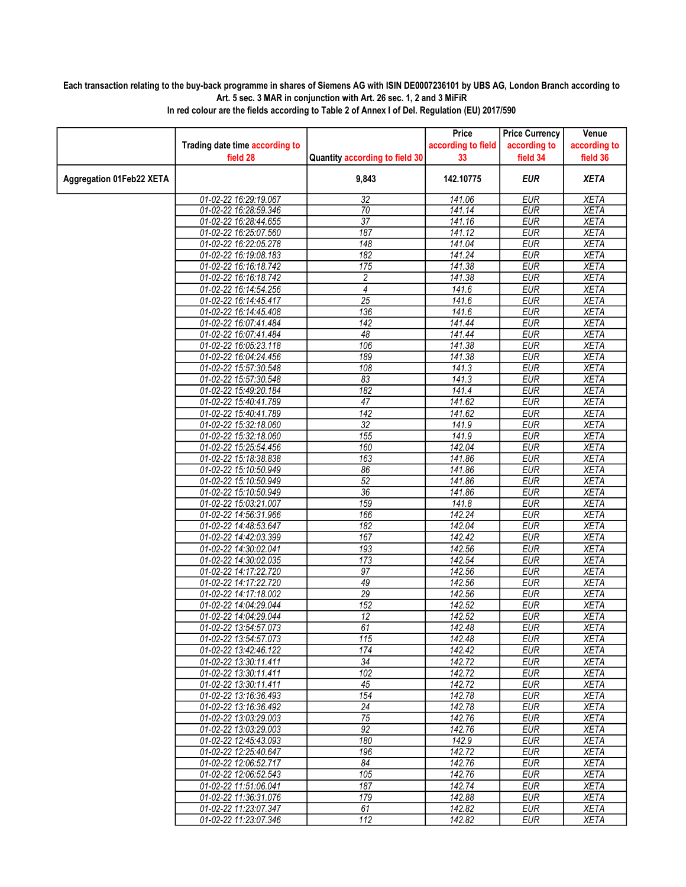## Each transaction relating to the buy-back programme in shares of Siemens AG with ISIN DE0007236101 by UBS AG, London Branch according to Art. 5 sec. 3 MAR in conjunction with Art. 26 sec. 1, 2 and 3 MiFiR

|                                 |                                |                                | Price              | <b>Price Currency</b> | Venue        |
|---------------------------------|--------------------------------|--------------------------------|--------------------|-----------------------|--------------|
|                                 | Trading date time according to |                                | according to field | according to          | according to |
|                                 | field 28                       | Quantity according to field 30 | 33                 | field 34              | field 36     |
| <b>Aggregation 01Feb22 XETA</b> |                                | 9,843                          | 142.10775          | <b>EUR</b>            | <b>XETA</b>  |
|                                 | 01-02-22 16:29:19.067          | 32                             | 141.06             | <b>EUR</b>            | <b>XETA</b>  |
|                                 | 01-02-22 16:28:59.346          | $\overline{70}$                | 141.14             | <b>EUR</b>            | <b>XETA</b>  |
|                                 | 01-02-22 16:28:44.655          | $\overline{37}$                | 141.16             | <b>EUR</b>            | <b>XETA</b>  |
|                                 | 01-02-22 16:25:07.560          | 187                            | 141.12             | <b>EUR</b>            | <b>XETA</b>  |
|                                 | 01-02-22 16:22:05.278          | 148                            | 141.04             | <b>EUR</b>            | <b>XETA</b>  |
|                                 | 01-02-22 16:19:08.183          | 182                            | 141.24             | <b>EUR</b>            | <b>XETA</b>  |
|                                 | 01-02-22 16:16:18.742          | 175                            | 141.38             | <b>EUR</b>            | <b>XETA</b>  |
|                                 | 01-02-22 16:16:18.742          | $\overline{c}$                 | 141.38             | <b>EUR</b>            | <b>XETA</b>  |
|                                 | 01-02-22 16:14:54.256          | 4                              | 141.6              | <b>EUR</b>            | <b>XETA</b>  |
|                                 | 01-02-22 16:14:45.417          | $\overline{25}$                | 141.6              | <b>EUR</b>            | <b>XETA</b>  |
|                                 | 01-02-22 16:14:45.408          | 136                            | 141.6              | <b>EUR</b>            | <b>XETA</b>  |
|                                 | 01-02-22 16:07:41.484          | 142                            | 141.44             | <b>EUR</b>            | <b>XETA</b>  |
|                                 | 01-02-22 16:07:41.484          | 48                             | 141.44             | <b>EUR</b>            | <b>XETA</b>  |
|                                 | 01-02-22 16:05:23.118          | 106                            | 141.38             | <b>EUR</b>            | <b>XETA</b>  |
|                                 | 01-02-22 16:04:24.456          | 189                            | 141.38             | <b>EUR</b>            | <b>XETA</b>  |
|                                 | 01-02-22 15:57:30.548          | 108                            | 141.3              | <b>EUR</b>            | <b>XETA</b>  |
|                                 | 01-02-22 15:57:30.548          | 83                             | 141.3              | <b>EUR</b>            | <b>XETA</b>  |
|                                 | 01-02-22 15:49:20.184          | $\overline{182}$               | 141.4              | <b>EUR</b>            | <b>XETA</b>  |
|                                 | 01-02-22 15:40:41.789          | 47                             | 141.62             | <b>EUR</b>            | <b>XETA</b>  |
|                                 | 01-02-22 15:40:41.789          | $\overline{142}$               | 141.62             | <b>EUR</b>            | <b>XETA</b>  |
|                                 | 01-02-22 15:32:18.060          | $\overline{32}$                | 141.9              | <b>EUR</b>            | <b>XETA</b>  |
|                                 | 01-02-22 15:32:18.060          | 155                            | 141.9              | <b>EUR</b>            | <b>XETA</b>  |
|                                 | 01-02-22 15:25:54.456          | 160                            | 142.04             | <b>EUR</b>            | <b>XETA</b>  |
|                                 | 01-02-22 15:18:38.838          | 163                            | 141.86             | <b>EUR</b>            | <b>XETA</b>  |
|                                 | 01-02-22 15:10:50.949          | 86                             | 141.86             | <b>EUR</b>            | <b>XETA</b>  |
|                                 | 01-02-22 15:10:50.949          | $\overline{52}$                | 141.86             | <b>EUR</b>            | <b>XETA</b>  |
|                                 | 01-02-22 15:10:50.949          | $\overline{36}$                | 141.86             | <b>EUR</b>            | <b>XETA</b>  |
|                                 | 01-02-22 15:03:21.007          | 159                            | 141.8              | <b>EUR</b>            | <b>XETA</b>  |
|                                 | 01-02-22 14:56:31.966          | 166                            | 142.24             | <b>EUR</b>            | <b>XETA</b>  |
|                                 | 01-02-22 14:48:53.647          | 182                            | 142.04             | <b>EUR</b>            | <b>XETA</b>  |
|                                 | 01-02-22 14:42:03.399          | 167                            | 142.42             | <b>EUR</b>            | <b>XETA</b>  |
|                                 | 01-02-22 14:30:02.041          | 193                            | 142.56             | <b>EUR</b>            | <b>XETA</b>  |
|                                 | 01-02-22 14:30:02.035          | 173                            | 142.54             | <b>EUR</b>            | <b>XETA</b>  |
|                                 | 01-02-22 14:17:22.720          | $\overline{97}$                | 142.56             | <b>EUR</b>            | <b>XETA</b>  |
|                                 | 01-02-22 14:17:22.720          | 49                             | 142.56             | <b>EUR</b>            | <b>XETA</b>  |
|                                 | 01-02-22 14:17:18.002          | $\overline{29}$                | 142.56             | <b>EUR</b>            | <b>XETA</b>  |
|                                 | 01-02-22 14:04:29.044          | 152                            | 142.52             | <b>EUR</b>            | <b>XETA</b>  |
|                                 | 01-02-22 14:04:29.044          | 12                             | 142.52             | <b>EUR</b>            | <b>XETA</b>  |
|                                 | 01-02-22 13:54:57.073          | 61                             | 142.48             | <b>EUR</b>            | <b>XETA</b>  |
|                                 | 01-02-22 13:54:57.073          | 115                            | 142.48             | EUR                   | <b>XETA</b>  |
|                                 | 01-02-22 13:42:46.122          | 174                            | 142.42             | EUR                   | XETA         |
|                                 | 01-02-22 13:30:11.411          | 34                             | 142.72             | <b>EUR</b>            | <b>XETA</b>  |
|                                 | 01-02-22 13:30:11.411          | 102                            | 142.72             | EUR                   | <b>XETA</b>  |
|                                 | 01-02-22 13:30:11.411          | 45                             | 142.72             | <b>EUR</b>            | <b>XETA</b>  |
|                                 | 01-02-22 13:16:36.493          | 154                            | 142.78             | <b>EUR</b>            | <b>XETA</b>  |
|                                 | 01-02-22 13:16:36.492          | $\overline{24}$                | 142.78             | <b>EUR</b>            | <b>XETA</b>  |
|                                 | 01-02-22 13:03:29.003          | 75                             | 142.76             | EUR                   | <b>XETA</b>  |
|                                 | 01-02-22 13:03:29.003          | $\overline{92}$                | 142.76             | <b>EUR</b>            | <b>XETA</b>  |
|                                 | 01-02-22 12:45:43.093          | 180                            | 142.9              | EUR                   | <b>XETA</b>  |
|                                 | 01-02-22 12:25:40.647          | 196                            | 142.72             | EUR                   | <b>XETA</b>  |
|                                 | 01-02-22 12:06:52.717          | $\overline{84}$                | 142.76             | <b>EUR</b>            | <b>XETA</b>  |
|                                 | 01-02-22 12:06:52.543          | 105                            | 142.76             | EUR                   | <b>XETA</b>  |
|                                 | 01-02-22 11:51:06.041          | 187                            | 142.74             | EUR                   | <b>XETA</b>  |
|                                 | 01-02-22 11:36:31.076          | 179                            | 142.88             | <b>EUR</b>            | <b>XETA</b>  |
|                                 | 01-02-22 11:23:07.347          | 61                             | 142.82             | <b>EUR</b>            | <b>XETA</b>  |
|                                 | 01-02-22 11:23:07.346          | 112                            | 142.82             | <b>EUR</b>            | XETA         |

In red colour are the fields according to Table 2 of Annex I of Del. Regulation (EU) 2017/590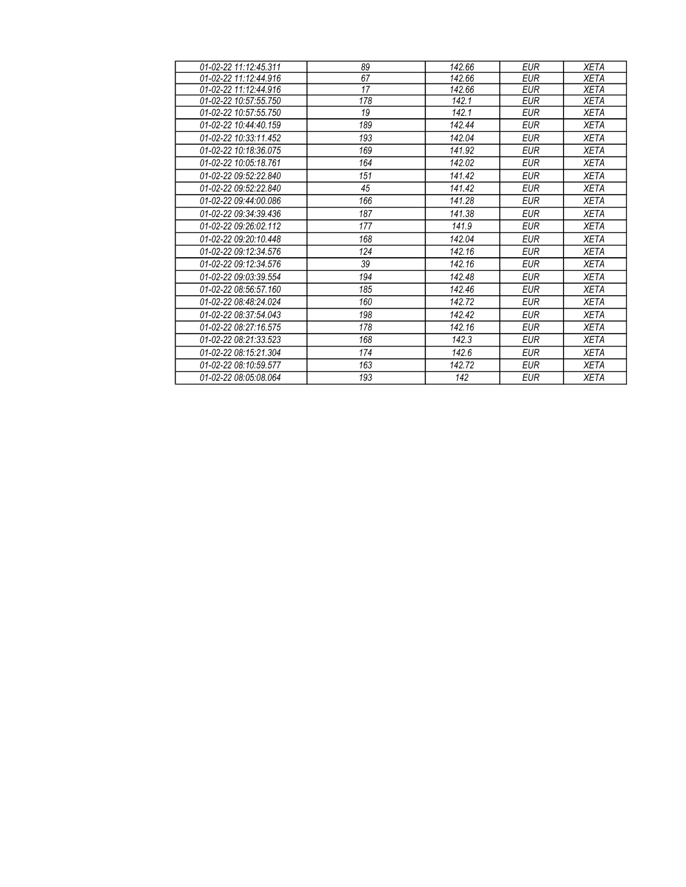| 01-02-22 11:12:45.311 | 89  | 142.66 | <b>EUR</b> | <b>XETA</b> |
|-----------------------|-----|--------|------------|-------------|
| 01-02-22 11:12:44.916 | 67  | 142.66 | <b>EUR</b> | <b>XETA</b> |
| 01-02-22 11:12:44.916 | 17  | 142.66 | <b>EUR</b> | <b>XETA</b> |
| 01-02-22 10:57:55.750 | 178 | 142.1  | <b>EUR</b> | <b>XETA</b> |
| 01-02-22 10:57:55.750 | 19  | 142.1  | <b>EUR</b> | <b>XETA</b> |
| 01-02-22 10:44:40.159 | 189 | 142.44 | <b>EUR</b> | <b>XETA</b> |
| 01-02-22 10:33:11.452 | 193 | 142.04 | <b>EUR</b> | <b>XETA</b> |
| 01-02-22 10:18:36.075 | 169 | 141.92 | <b>EUR</b> | <b>XETA</b> |
| 01-02-22 10:05:18.761 | 164 | 142.02 | <b>EUR</b> | <b>XETA</b> |
| 01-02-22 09:52:22.840 | 151 | 141.42 | <b>EUR</b> | <b>XETA</b> |
| 01-02-22 09:52:22.840 | 45  | 141.42 | <b>EUR</b> | <b>XETA</b> |
| 01-02-22 09:44:00.086 | 166 | 141.28 | <b>EUR</b> | <b>XETA</b> |
| 01-02-22 09:34:39.436 | 187 | 141.38 | <b>EUR</b> | <b>XETA</b> |
| 01-02-22 09:26:02.112 | 177 | 141.9  | EUR        | <b>XETA</b> |
| 01-02-22 09:20:10.448 | 168 | 142.04 | <b>EUR</b> | <b>XETA</b> |
| 01-02-22 09:12:34.576 | 124 | 142.16 | <b>EUR</b> | <b>XETA</b> |
| 01-02-22 09:12:34.576 | 39  | 142.16 | <b>EUR</b> | <b>XETA</b> |
| 01-02-22 09:03:39.554 | 194 | 142.48 | <b>EUR</b> | <b>XETA</b> |
| 01-02-22 08:56:57.160 | 185 | 142.46 | <b>EUR</b> | <b>XETA</b> |
| 01-02-22 08:48:24.024 | 160 | 142.72 | <b>EUR</b> | <b>XETA</b> |
| 01-02-22 08:37:54.043 | 198 | 142.42 | <b>EUR</b> | <b>XETA</b> |
| 01-02-22 08:27:16.575 | 178 | 142.16 | <b>EUR</b> | <b>XETA</b> |
| 01-02-22 08:21:33.523 | 168 | 142.3  | <b>EUR</b> | <b>XETA</b> |
| 01-02-22 08:15:21.304 | 174 | 142.6  | EUR        | XETA        |
| 01-02-22 08:10:59.577 | 163 | 142.72 | <b>EUR</b> | <b>XETA</b> |
| 01-02-22 08:05:08.064 | 193 | 142    | <b>EUR</b> | <b>XETA</b> |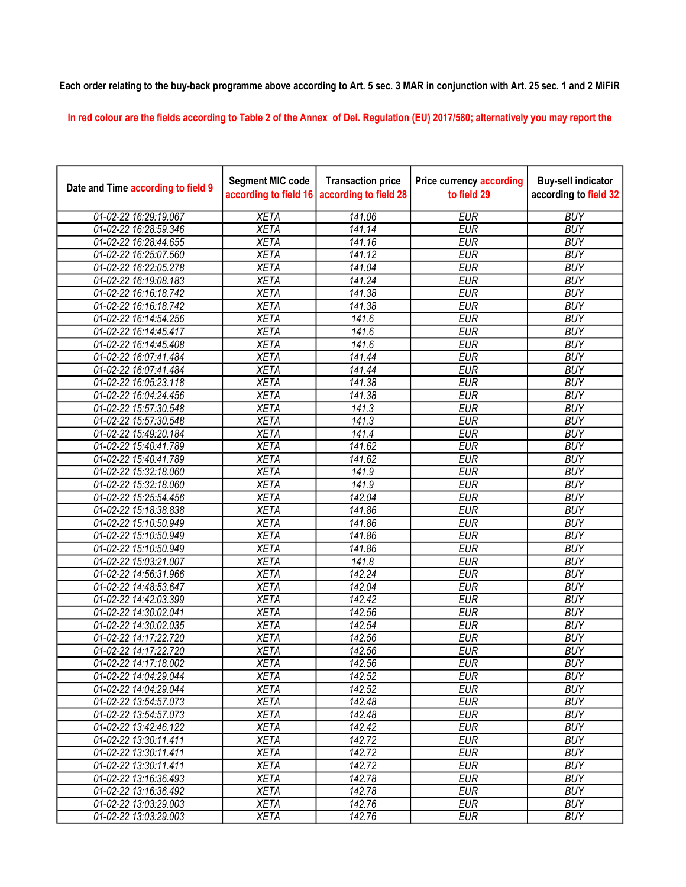## Each order relating to the buy-back programme above according to Art. 5 sec. 3 MAR in conjunction with Art. 25 sec. 1 and 2 MiFiR

In red colour are the fields according to Table 2 of the Annex of Del. Regulation (EU) 2017/580; alternatively you may report the

| Date and Time according to field 9 | <b>Segment MIC code</b><br>according to field 16 | <b>Transaction price</b><br>according to field 28 | <b>Price currency according</b><br>to field 29 | <b>Buy-sell indicator</b><br>according to field 32 |
|------------------------------------|--------------------------------------------------|---------------------------------------------------|------------------------------------------------|----------------------------------------------------|
| 01-02-22 16:29:19.067              | <b>XETA</b>                                      | 141.06                                            | <b>EUR</b>                                     | <b>BUY</b>                                         |
| 01-02-22 16:28:59.346              | <b>XETA</b>                                      | 141.14                                            | <b>EUR</b>                                     | <b>BUY</b>                                         |
| 01-02-22 16:28:44.655              | <b>XETA</b>                                      | 141.16                                            | <b>EUR</b>                                     | <b>BUY</b>                                         |
| 01-02-22 16:25:07.560              | <b>XETA</b>                                      | 141.12                                            | <b>EUR</b>                                     | <b>BUY</b>                                         |
| 01-02-22 16:22:05.278              | <b>XETA</b>                                      | 141.04                                            | <b>EUR</b>                                     | <b>BUY</b>                                         |
| 01-02-22 16:19:08.183              | <b>XETA</b>                                      | 141.24                                            | <b>EUR</b>                                     | <b>BUY</b>                                         |
| 01-02-22 16:16:18.742              | <b>XETA</b>                                      | 141.38                                            | <b>EUR</b>                                     | <b>BUY</b>                                         |
| 01-02-22 16:16:18.742              | <b>XETA</b>                                      | 141.38                                            | <b>EUR</b>                                     | <b>BUY</b>                                         |
| 01-02-22 16:14:54.256              | <b>XETA</b>                                      | 141.6                                             | <b>EUR</b>                                     | <b>BUY</b>                                         |
| 01-02-22 16:14:45.417              | <b>XETA</b>                                      | 141.6                                             | <b>EUR</b>                                     | <b>BUY</b>                                         |
| 01-02-22 16:14:45.408              | <b>XETA</b>                                      | 141.6                                             | <b>EUR</b>                                     | <b>BUY</b>                                         |
| 01-02-22 16:07:41.484              | <b>XETA</b>                                      | 141.44                                            | <b>EUR</b>                                     | <b>BUY</b>                                         |
| 01-02-22 16:07:41.484              | <b>XETA</b>                                      | 141.44                                            | <b>EUR</b>                                     | <b>BUY</b>                                         |
| 01-02-22 16:05:23.118              | <b>XETA</b>                                      | 141.38                                            | <b>EUR</b>                                     | <b>BUY</b>                                         |
| 01-02-22 16:04:24.456              | <b>XETA</b>                                      | 141.38                                            | <b>EUR</b>                                     | <b>BUY</b>                                         |
| 01-02-22 15:57:30.548              | <b>XETA</b>                                      | 141.3                                             | <b>EUR</b>                                     | <b>BUY</b>                                         |
| 01-02-22 15:57:30.548              | <b>XETA</b>                                      | 141.3                                             | <b>EUR</b>                                     | <b>BUY</b>                                         |
| 01-02-22 15:49:20.184              | <b>XETA</b>                                      | 141.4                                             | <b>EUR</b>                                     | <b>BUY</b>                                         |
| 01-02-22 15:40:41.789              | <b>XETA</b>                                      | 141.62                                            | <b>EUR</b>                                     | <b>BUY</b>                                         |
| 01-02-22 15:40:41.789              | <b>XETA</b>                                      | 141.62                                            | <b>EUR</b>                                     | <b>BUY</b>                                         |
| 01-02-22 15:32:18.060              | <b>XETA</b>                                      | 141.9                                             | <b>EUR</b>                                     | <b>BUY</b>                                         |
| 01-02-22 15:32:18.060              | <b>XETA</b>                                      | 141.9                                             | <b>EUR</b>                                     | <b>BUY</b>                                         |
| 01-02-22 15:25:54.456              | <b>XETA</b>                                      | 142.04                                            | <b>EUR</b>                                     | <b>BUY</b>                                         |
| 01-02-22 15:18:38.838              | <b>XETA</b>                                      | 141.86                                            | <b>EUR</b>                                     | <b>BUY</b>                                         |
| 01-02-22 15:10:50.949              | <b>XETA</b>                                      | 141.86                                            | <b>EUR</b>                                     | <b>BUY</b>                                         |
| 01-02-22 15:10:50.949              | <b>XETA</b>                                      | 141.86                                            | <b>EUR</b>                                     | <b>BUY</b>                                         |
| 01-02-22 15:10:50.949              | <b>XETA</b>                                      | 141.86                                            | <b>EUR</b>                                     | <b>BUY</b>                                         |
| 01-02-22 15:03:21.007              | <b>XETA</b>                                      | 141.8                                             | <b>EUR</b>                                     | <b>BUY</b>                                         |
| 01-02-22 14:56:31.966              | <b>XETA</b>                                      | 142.24                                            | <b>EUR</b>                                     | <b>BUY</b>                                         |
| 01-02-22 14:48:53.647              | <b>XETA</b>                                      | 142.04                                            | <b>EUR</b>                                     | <b>BUY</b>                                         |
| 01-02-22 14:42:03.399              | <b>XETA</b>                                      | 142.42                                            | <b>EUR</b>                                     | <b>BUY</b>                                         |
| 01-02-22 14:30:02.041              | <b>XETA</b>                                      | 142.56                                            | <b>EUR</b>                                     | <b>BUY</b>                                         |
| 01-02-22 14:30:02.035              | <b>XETA</b>                                      | 142.54                                            | <b>EUR</b>                                     | <b>BUY</b>                                         |
| 01-02-22 14:17:22.720              | <b>XETA</b>                                      | 142.56                                            | <b>EUR</b>                                     | <b>BUY</b>                                         |
| 01-02-22 14:17:22.720              | <b>XETA</b>                                      | $\overline{142.56}$                               | <b>EUR</b>                                     | <b>BUY</b>                                         |
| 01-02-22 14:17:18.002              | <b>XETA</b>                                      | 142.56                                            | <b>EUR</b>                                     | <b>BUY</b>                                         |
| 01-02-22 14:04:29.044              | <b>XETA</b>                                      | 142.52                                            | <b>EUR</b>                                     | <b>BUY</b>                                         |
| 01-02-22 14:04:29.044              | <b>XETA</b>                                      | 142.52                                            | <b>EUR</b>                                     | <b>BUY</b>                                         |
| 01-02-22 13:54:57.073              | <b>XETA</b>                                      | 142.48                                            | <b>EUR</b>                                     | <b>BUY</b>                                         |
| 01-02-22 13:54:57.073              | <b>XETA</b>                                      | 142.48                                            | <b>EUR</b>                                     | <b>BUY</b>                                         |
| 01-02-22 13:42:46.122              | <b>XETA</b>                                      | 142.42                                            | <b>EUR</b>                                     | <b>BUY</b>                                         |
| 01-02-22 13:30:11.411              | <b>XETA</b>                                      | 142.72                                            | <b>EUR</b>                                     | <b>BUY</b>                                         |
| 01-02-22 13:30:11.411              | <b>XETA</b>                                      | 142.72                                            | <b>EUR</b>                                     | <b>BUY</b>                                         |
| 01-02-22 13:30:11.411              | <b>XETA</b>                                      | 142.72                                            | <b>EUR</b>                                     | <b>BUY</b>                                         |
| 01-02-22 13:16:36.493              | <b>XETA</b>                                      | 142.78                                            | <b>EUR</b>                                     | <b>BUY</b>                                         |
| 01-02-22 13:16:36.492              | <b>XETA</b>                                      | 142.78                                            | <b>EUR</b>                                     | <b>BUY</b>                                         |
| 01-02-22 13:03:29.003              | <b>XETA</b>                                      | 142.76                                            | <b>EUR</b>                                     | <b>BUY</b>                                         |
| 01-02-22 13:03:29.003              | <b>XETA</b>                                      | 142.76                                            | <b>EUR</b>                                     | <b>BUY</b>                                         |